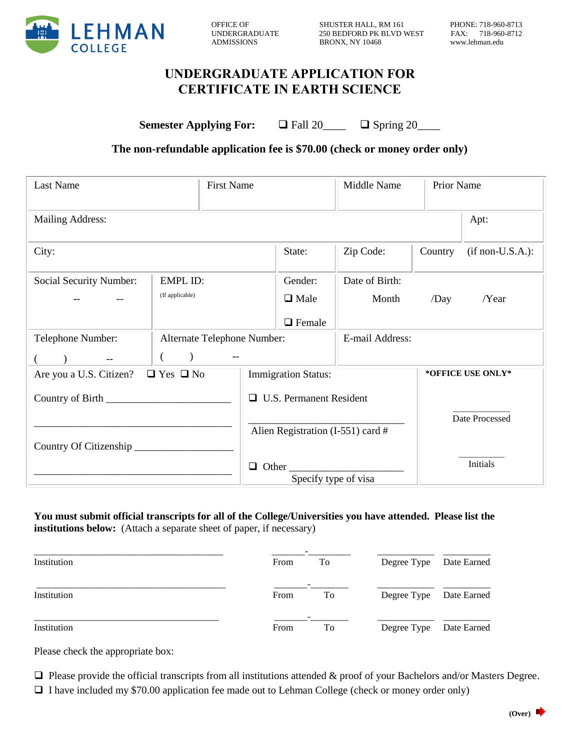

OFFICE OF SHUSTER HALL, RM 161 PHONE: 718-960-8713 UNDERGRADUATE 250 BEDFORD PK BLVD WEST ADMISSIONS BRONX, NY 10468 www.lehman.edu

# **UNDERGRADUATE APPLICATION FOR CERTIFICATE IN EARTH SCIENCE**

**Semester Applying For:** □ Fall 20\_\_\_\_ □ Spring 20\_\_\_\_

## **The non-refundable application fee is \$70.00 (check or money order only)**

| <b>Last Name</b>                                 |  |  |
|--------------------------------------------------|--|--|
| Mailing Address:                                 |  |  |
|                                                  |  |  |
| Social Security Number:<br>EMPL ID:              |  |  |
| (If applicable)                                  |  |  |
|                                                  |  |  |
| Telephone Number:<br>Alternate Telephone Number: |  |  |
|                                                  |  |  |
| Are you a U.S. Citizen? $\Box$ Yes $\Box$ No     |  |  |
|                                                  |  |  |
|                                                  |  |  |
| Country Of Citizenship                           |  |  |
| Other_<br>❏                                      |  |  |
|                                                  |  |  |

#### **You must submit official transcripts for all of the College/Universities you have attended. Please list the institutions below:** (Attach a separate sheet of paper, if necessary)

| Institution | From | To | Degree Type Date Earned |  |
|-------------|------|----|-------------------------|--|
| Institution | From | To | Degree Type Date Earned |  |
| Institution | From | To | Degree Type Date Earned |  |

Please check the appropriate box:

 $\Box$  Please provide the official transcripts from all institutions attended & proof of your Bachelors and/or Masters Degree. I have included my \$70.00 application fee made out to Lehman College (check or money order only)